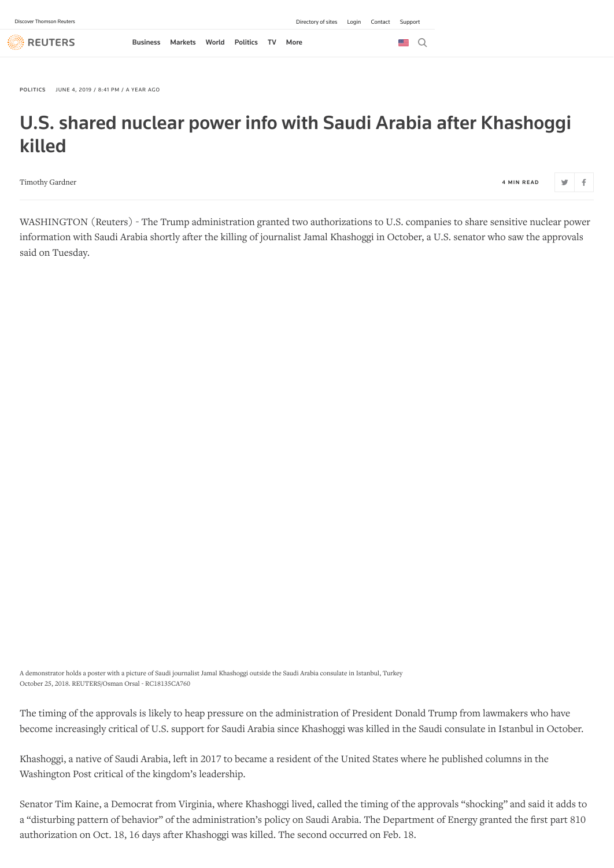**REUTERS** 

[POLITICS](https://www.reuters.com/news/archive/politicsNews) JUNE 4, 2019 / 8:41 PM / A YEAR AGO

## U.S. shared nuclear power info with Saudi Arabia after Khashoggi killed

[Timothy Gardner](https://www.reuters.com/journalists/timothy-gardner) 4 MIN READ 4 MIN READ 4 MIN READ 4 MIN READ 4 MIN READ 4 MIN READ 4 MIN READ 4 MIN READ 4 MIN READ

 $\vdash$  f

WASHINGTON (Reuters) - The Trump administration granted two authorizations to U.S. companies to share sensitive nuclear power information with Saudi Arabia shortly after the killing of journalist Jamal Khashoggi in October, a U.S. senator who saw the approvals said on Tuesday.

A demonstrator holds a poster with a picture of Saudi journalist Jamal Khashoggi outside the Saudi Arabia consulate in Istanbul, Turkey October 25, 2018. REUTERS/Osman Orsal - RC18135CA760

The timing of the approvals is likely to heap pressure on the administration of President Donald Trump from lawmakers who have become increasingly critical of U.S. support for Saudi Arabia since Khashoggi was killed in the Saudi consulate in Istanbul in October.

Khashoggi, a native of Saudi Arabia, left in 2017 to became a resident of the United States where he published columns in the Washington Post critical of the kingdom's leadership.

Senator Tim Kaine, a Democrat from Virginia, where Khashoggi lived, called the timing of the approvals "shocking" and said it adds to a "disturbing pattern of behavior" of the administration's policy on Saudi Arabia. The Department of Energy granted the first part 810 authorization on Oct. 18, 16 days after Khashoggi was killed. The second occurred on Feb. 18.